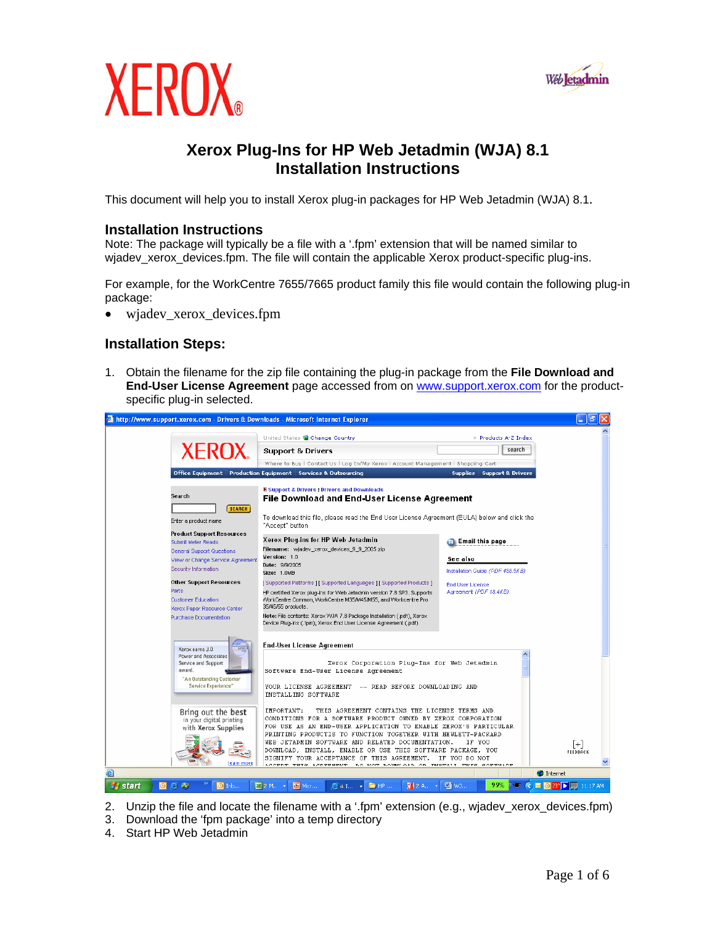



## **Xerox Plug-Ins for HP Web Jetadmin (WJA) 8.1 Installation Instructions**

This document will help you to install Xerox plug-in packages for HP Web Jetadmin (WJA) 8.1.

#### **Installation Instructions**

Note: The package will typically be a file with a '.fpm' extension that will be named similar to wjadev\_xerox\_devices.fpm. The file will contain the applicable Xerox product-specific plug-ins.

For example, for the WorkCentre 7655/7665 product family this file would contain the following plug-in package:

• wjadev\_xerox\_devices.fpm

### **Installation Steps:**

1. Obtain the filename for the zip file containing the plug-in package from the **File Download and End-User License Agreement** page accessed from on [www.support.xerox.com](http://www.support.xerox.com/) for the productspecific plug-in selected.



- 2. Unzip the file and locate the filename with a '.fpm' extension (e.g., wjadev\_xerox\_devices.fpm)
- 3. Download the 'fpm package' into a temp directory
- 4. Start HP Web Jetadmin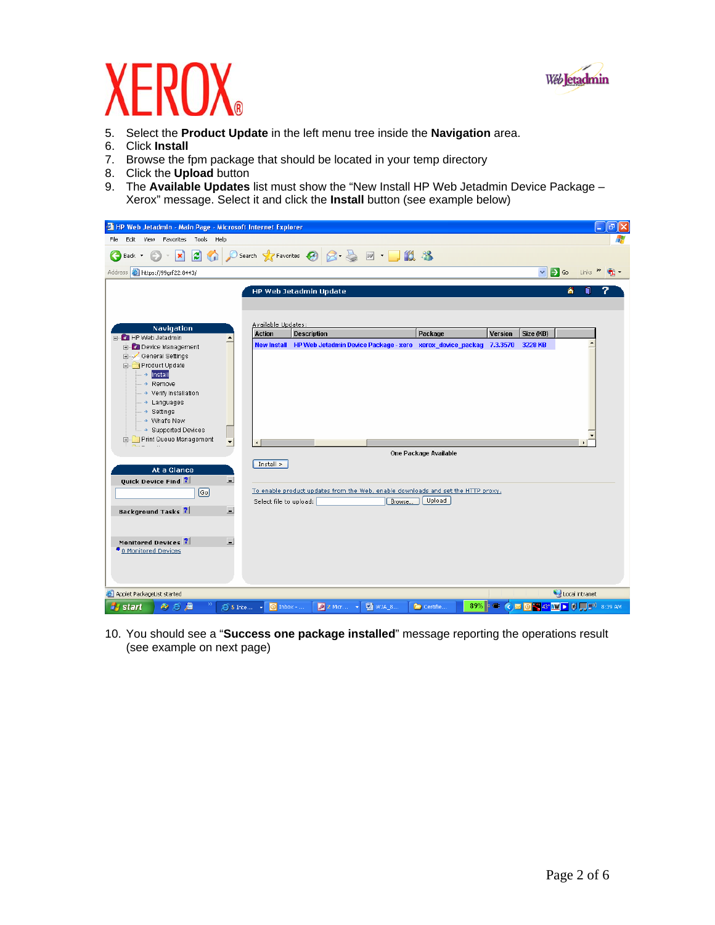

# $\overline{\phantom{a}}$

- 5. Select the **Product Update** in the left menu tree inside the **Navigation** area.
- 6. Click **Install**
- 7. Browse the fpm package that should be located in your temp directory
- 8. Click the **Upload** button
- 9. The **Available Updates** list must show the "New Install HP Web Jetadmin Device Package Xerox" message. Select it and click the **Install** button (see example below)

| HP Web Jetadmin - Main Page - Microsoft Internet Explorer                                                                                                                                                                                                            |                                                                                            |                                                                                                                                |                                             | la<br>$\blacksquare$     |
|----------------------------------------------------------------------------------------------------------------------------------------------------------------------------------------------------------------------------------------------------------------------|--------------------------------------------------------------------------------------------|--------------------------------------------------------------------------------------------------------------------------------|---------------------------------------------|--------------------------|
| View Favorites Tools Help<br>File<br>Edit                                                                                                                                                                                                                            |                                                                                            |                                                                                                                                |                                             |                          |
| $\vert x \vert$<br>Back +                                                                                                                                                                                                                                            | 2 △ ○search ☆Favorites ④ ② 忌 回 ■ ■ ② 3                                                     |                                                                                                                                |                                             |                          |
| Address <b>&amp; https://99grf22:8443/</b>                                                                                                                                                                                                                           |                                                                                            |                                                                                                                                | $\Rightarrow$ Go<br>$\mathbf{v}$            | Links $\mathbf{v}$<br>٠щ |
| Navigation<br>HP Web Jetadmin<br>$\Box$<br><b>E-Device Management</b><br>General Settings<br>Product Update<br>├─ → <mark>Install</mark><br>$ \rightarrow$ Remove<br>- → Verify Installation<br>- → Languages<br>- > Settings<br>→ What's New<br>→ Supported Devices | <b>HP Web Jetadmin Update</b><br>Available Updates:<br><b>Action</b><br><b>Description</b> | Package<br>New Install HP Web Jetadmin Device Package - xero xerox device packag 7.3.3570                                      | 侖<br><b>Version</b><br>Size (KB)<br>3228 KB | n                        |
| Print Queue Management<br>$\blacktriangledown$                                                                                                                                                                                                                       |                                                                                            |                                                                                                                                |                                             |                          |
| At a Glance<br>Quick Device Find ?<br>Ξ.<br>$\boxed{Go}$<br>$\overline{\phantom{0}}$<br><b>Background Tasks</b> ?<br>$\overline{\phantom{a}}$<br>Monitored Devices ?<br><sup>●</sup> 0 Monitored Devices                                                             | $Install$ ><br>Select file to upload:                                                      | One Package Available<br>To enable product updates from the Web, enable downloads and set the HTTP proxy.<br>Upload<br>Browse. |                                             |                          |
| e Applet PackageList started<br>のる后<br><b>H</b> start                                                                                                                                                                                                                | $2$ Micr $\rightarrow$<br>5 Inte -<br>$\Theta$ Inbox -                                     | 四 WJA_8<br>Certifie                                                                                                            | 89% <b>E CEOX 43° WE GEE</b> 3:39 AM        | Local intranet           |

10. You should see a "**Success one package installed**" message reporting the operations result (see example on next page)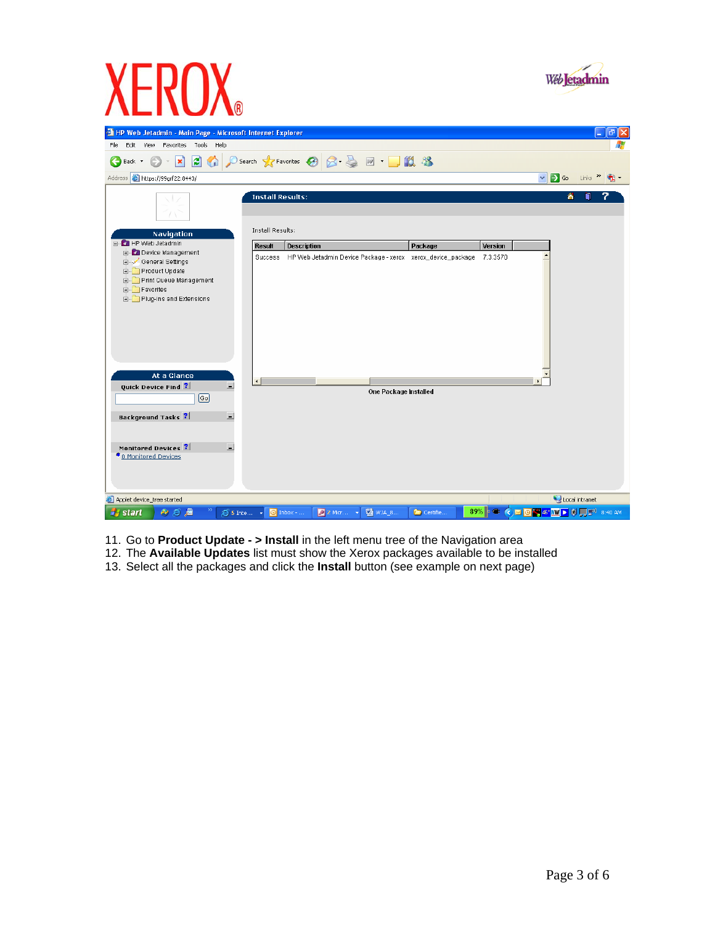



- 11. Go to **Product Update > Install** in the left menu tree of the Navigation area
- 12. The **Available Updates** list must show the Xerox packages available to be installed
- 13. Select all the packages and click the **Install** button (see example on next page)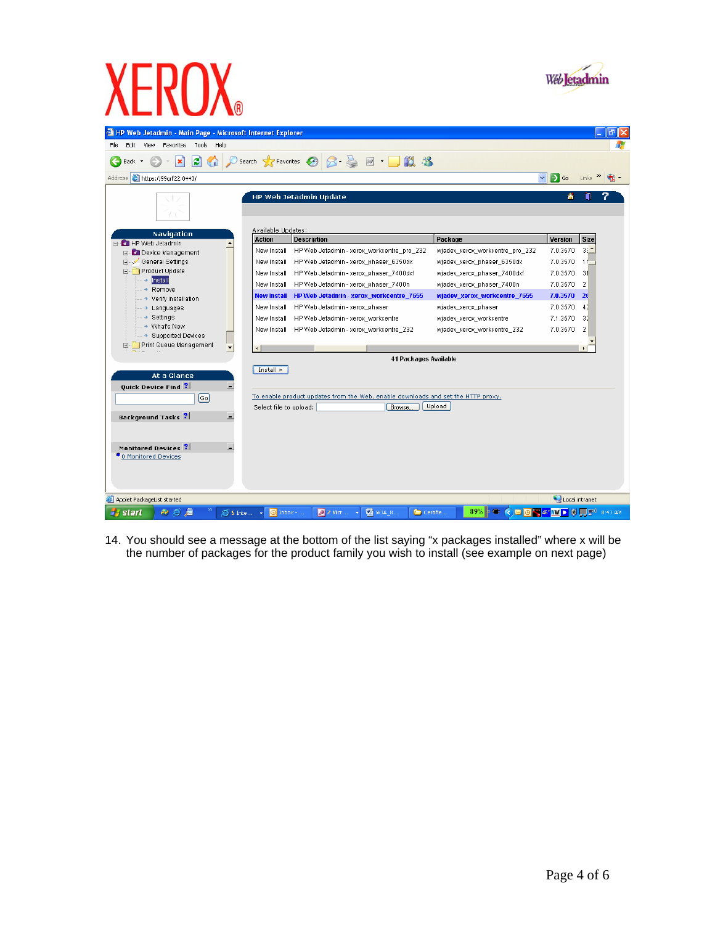

14. You should see a message at the bottom of the list saying "x packages installed" where x will be the number of packages for the product family you wish to install (see example on next page)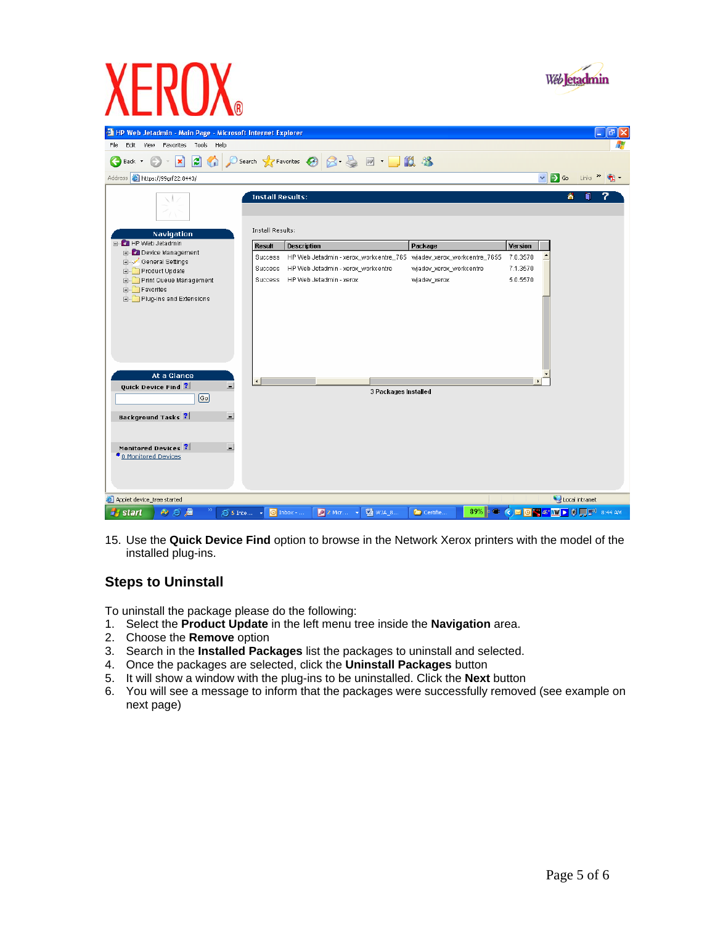



15. Use the **Quick Device Find** option to browse in the Network Xerox printers with the model of the installed plug-ins.

### **Steps to Uninstall**

To uninstall the package please do the following:

- 1. Select the **Product Update** in the left menu tree inside the **Navigation** area.
- 2. Choose the **Remove** option
- 3. Search in the **Installed Packages** list the packages to uninstall and selected.
- 4. Once the packages are selected, click the **Uninstall Packages** button
- 5. It will show a window with the plug-ins to be uninstalled. Click the **Next** button
- 6. You will see a message to inform that the packages were successfully removed (see example on next page)